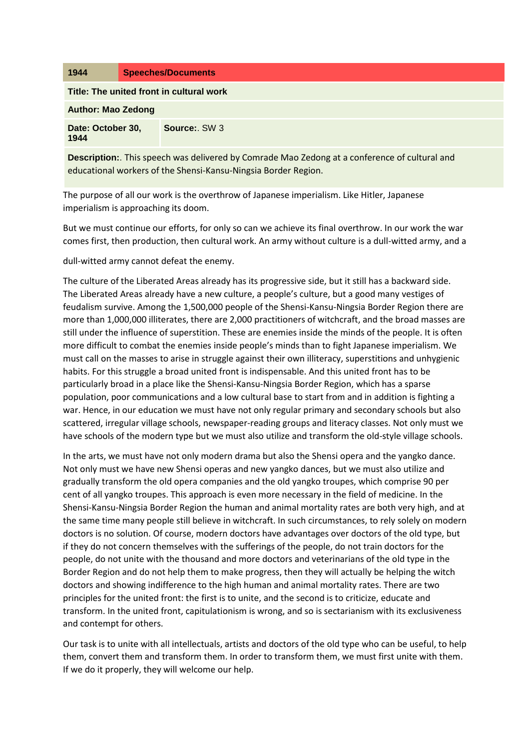| 1944                                                                                                |  | <b>Speeches/Documents</b> |
|-----------------------------------------------------------------------------------------------------|--|---------------------------|
| Title: The united front in cultural work                                                            |  |                           |
| <b>Author: Mao Zedong</b>                                                                           |  |                           |
| Date: October 30,<br>1944                                                                           |  | Source: SW 3              |
| <b>Description:</b> This speech was delivered by Comrade Mao Zedong at a conference of cultural and |  |                           |

educational workers of the Shensi-Kansu-Ningsia Border Region.

The purpose of all our work is the overthrow of Japanese imperialism. Like Hitler, Japanese imperialism is approaching its doom.

But we must continue our efforts, for only so can we achieve its final overthrow. In our work the war comes first, then production, then cultural work. An army without culture is a dull-witted army, and a

dull-witted army cannot defeat the enemy.

The culture of the Liberated Areas already has its progressive side, but it still has a backward side. The Liberated Areas already have a new culture, a people's culture, but a good many vestiges of feudalism survive. Among the 1,500,000 people of the Shensi-Kansu-Ningsia Border Region there are more than 1,000,000 illiterates, there are 2,000 practitioners of witchcraft, and the broad masses are still under the influence of superstition. These are enemies inside the minds of the people. It is often more difficult to combat the enemies inside people's minds than to fight Japanese imperialism. We must call on the masses to arise in struggle against their own illiteracy, superstitions and unhygienic habits. For this struggle a broad united front is indispensable. And this united front has to be particularly broad in a place like the Shensi-Kansu-Ningsia Border Region, which has a sparse population, poor communications and a low cultural base to start from and in addition is fighting a war. Hence, in our education we must have not only regular primary and secondary schools but also scattered, irregular village schools, newspaper-reading groups and literacy classes. Not only must we have schools of the modern type but we must also utilize and transform the old-style village schools.

In the arts, we must have not only modern drama but also the Shensi opera and the yangko dance. Not only must we have new Shensi operas and new yangko dances, but we must also utilize and gradually transform the old opera companies and the old yangko troupes, which comprise 90 per cent of all yangko troupes. This approach is even more necessary in the field of medicine. In the Shensi-Kansu-Ningsia Border Region the human and animal mortality rates are both very high, and at the same time many people still believe in witchcraft. In such circumstances, to rely solely on modern doctors is no solution. Of course, modern doctors have advantages over doctors of the old type, but if they do not concern themselves with the sufferings of the people, do not train doctors for the people, do not unite with the thousand and more doctors and veterinarians of the old type in the Border Region and do not help them to make progress, then they will actually be helping the witch doctors and showing indifference to the high human and animal mortality rates. There are two principles for the united front: the first is to unite, and the second is to criticize, educate and transform. In the united front, capitulationism is wrong, and so is sectarianism with its exclusiveness and contempt for others.

Our task is to unite with all intellectuals, artists and doctors of the old type who can be useful, to help them, convert them and transform them. In order to transform them, we must first unite with them. If we do it properly, they will welcome our help.